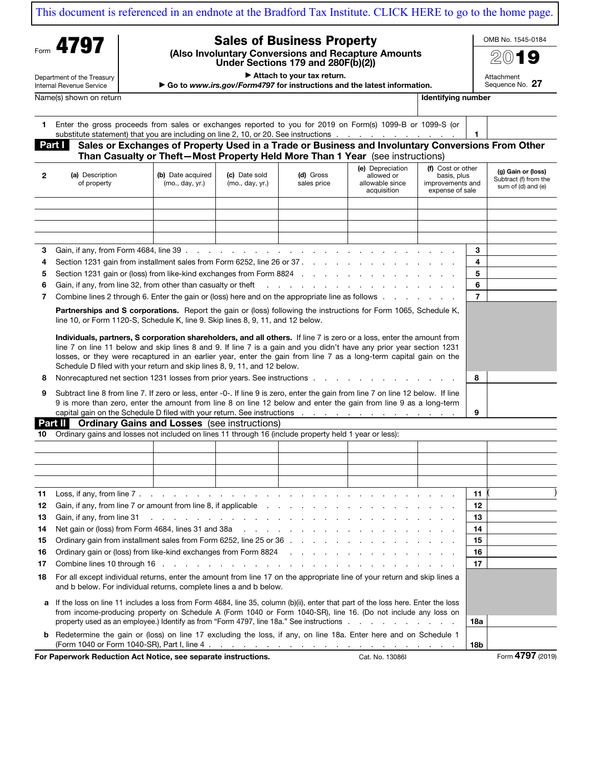## [This document is referenced in an endnote at the Bradford Tax Institute. CLICK HERE to go to the home page.](https://www.bradfordtaxinstitute.com)

Department of the Treasury

## Sales of Business Property

(Also Involuntary Conversions and Recapture Amounts Under Sections 179 and 280F(b)(2))

 $\blacktriangleright$  Attach to your tax return.

▶ Go to www.irs.gov/Form4797 for instructions and the latest information. Attachment Sequence No. 27

Internal Revenue Service Name(s) shown on return **Identifying** number of the state of the state of the state of the state of the state of the state of the state of the state of the state of the state of the state of the state of the state of the s

| entifvina number |  |
|------------------|--|

OMB No. 1545-0184 2019

| 1.                                                                                                                                                                                                  | Enter the gross proceeds from sales or exchanges reported to you for 2019 on Form(s) 1099-B or 1099-S (or<br>substitute statement) that you are including on line 2, 10, or 20. See instructions                                                                                                                                                                                                                                              |                                      |                                  |                                                                                                                 |                                                                  |                                                                         | -1             |                                                                   |
|-----------------------------------------------------------------------------------------------------------------------------------------------------------------------------------------------------|-----------------------------------------------------------------------------------------------------------------------------------------------------------------------------------------------------------------------------------------------------------------------------------------------------------------------------------------------------------------------------------------------------------------------------------------------|--------------------------------------|----------------------------------|-----------------------------------------------------------------------------------------------------------------|------------------------------------------------------------------|-------------------------------------------------------------------------|----------------|-------------------------------------------------------------------|
|                                                                                                                                                                                                     | Part I<br>Sales or Exchanges of Property Used in a Trade or Business and Involuntary Conversions From Other<br>Than Casualty or Theft-Most Property Held More Than 1 Year (see instructions)                                                                                                                                                                                                                                                  |                                      |                                  |                                                                                                                 |                                                                  |                                                                         |                |                                                                   |
| 2                                                                                                                                                                                                   | (a) Description<br>of property                                                                                                                                                                                                                                                                                                                                                                                                                | (b) Date acquired<br>(mo., day, yr.) | (c) Date sold<br>(mo., day, yr.) | (d) Gross<br>sales price                                                                                        | (e) Depreciation<br>allowed or<br>allowable since<br>acquisition | (f) Cost or other<br>basis, plus<br>improvements and<br>expense of sale |                | (g) Gain or (loss)<br>Subtract (f) from the<br>sum of (d) and (e) |
|                                                                                                                                                                                                     |                                                                                                                                                                                                                                                                                                                                                                                                                                               |                                      |                                  |                                                                                                                 |                                                                  |                                                                         |                |                                                                   |
|                                                                                                                                                                                                     |                                                                                                                                                                                                                                                                                                                                                                                                                                               |                                      |                                  |                                                                                                                 |                                                                  |                                                                         |                |                                                                   |
|                                                                                                                                                                                                     |                                                                                                                                                                                                                                                                                                                                                                                                                                               |                                      |                                  |                                                                                                                 |                                                                  |                                                                         |                |                                                                   |
|                                                                                                                                                                                                     |                                                                                                                                                                                                                                                                                                                                                                                                                                               |                                      |                                  |                                                                                                                 |                                                                  |                                                                         |                |                                                                   |
| 3                                                                                                                                                                                                   |                                                                                                                                                                                                                                                                                                                                                                                                                                               |                                      |                                  |                                                                                                                 |                                                                  |                                                                         | 3              |                                                                   |
| 4                                                                                                                                                                                                   | Section 1231 gain from installment sales from Form 6252, line 26 or 37.                                                                                                                                                                                                                                                                                                                                                                       |                                      |                                  |                                                                                                                 |                                                                  |                                                                         | 4              |                                                                   |
| 5                                                                                                                                                                                                   |                                                                                                                                                                                                                                                                                                                                                                                                                                               |                                      |                                  |                                                                                                                 |                                                                  |                                                                         | 5              |                                                                   |
| 6                                                                                                                                                                                                   | Gain, if any, from line 32, from other than casualty or theft                                                                                                                                                                                                                                                                                                                                                                                 |                                      |                                  | the contract of the contract of the contract of the contract of the contract of the contract of the contract of |                                                                  |                                                                         | 6              |                                                                   |
| 7                                                                                                                                                                                                   | Combine lines 2 through 6. Enter the gain or (loss) here and on the appropriate line as follows enter the set of the set of the set of the set of the appropriate line as follows and the set of the set of the set of the set                                                                                                                                                                                                                |                                      |                                  |                                                                                                                 |                                                                  |                                                                         | $\overline{7}$ |                                                                   |
| Partnerships and S corporations. Report the gain or (loss) following the instructions for Form 1065, Schedule K,<br>line 10, or Form 1120-S, Schedule K, line 9. Skip lines 8, 9, 11, and 12 below. |                                                                                                                                                                                                                                                                                                                                                                                                                                               |                                      |                                  |                                                                                                                 |                                                                  |                                                                         |                |                                                                   |
|                                                                                                                                                                                                     | Individuals, partners, S corporation shareholders, and all others. If line 7 is zero or a loss, enter the amount from<br>line 7 on line 11 below and skip lines 8 and 9. If line 7 is a gain and you didn't have any prior year section 1231<br>losses, or they were recaptured in an earlier year, enter the gain from line 7 as a long-term capital gain on the<br>Schedule D filed with your return and skip lines 8, 9, 11, and 12 below. |                                      |                                  |                                                                                                                 |                                                                  |                                                                         |                |                                                                   |
| 8                                                                                                                                                                                                   | Nonrecaptured net section 1231 losses from prior years. See instructions                                                                                                                                                                                                                                                                                                                                                                      |                                      |                                  |                                                                                                                 |                                                                  |                                                                         | 8              |                                                                   |
| 9                                                                                                                                                                                                   | Subtract line 8 from line 7. If zero or less, enter -0-. If line 9 is zero, enter the gain from line 7 on line 12 below. If line<br>9 is more than zero, enter the amount from line 8 on line 12 below and enter the gain from line 9 as a long-term<br>9                                                                                                                                                                                     |                                      |                                  |                                                                                                                 |                                                                  |                                                                         |                |                                                                   |
| <b>Part II</b> Ordinary Gains and Losses (see instructions)                                                                                                                                         |                                                                                                                                                                                                                                                                                                                                                                                                                                               |                                      |                                  |                                                                                                                 |                                                                  |                                                                         |                |                                                                   |
| 10                                                                                                                                                                                                  | Ordinary gains and losses not included on lines 11 through 16 (include property held 1 year or less):                                                                                                                                                                                                                                                                                                                                         |                                      |                                  |                                                                                                                 |                                                                  |                                                                         |                |                                                                   |
|                                                                                                                                                                                                     |                                                                                                                                                                                                                                                                                                                                                                                                                                               |                                      |                                  |                                                                                                                 |                                                                  |                                                                         |                |                                                                   |
|                                                                                                                                                                                                     |                                                                                                                                                                                                                                                                                                                                                                                                                                               |                                      |                                  |                                                                                                                 |                                                                  |                                                                         |                |                                                                   |
|                                                                                                                                                                                                     |                                                                                                                                                                                                                                                                                                                                                                                                                                               |                                      |                                  |                                                                                                                 |                                                                  |                                                                         |                |                                                                   |
|                                                                                                                                                                                                     |                                                                                                                                                                                                                                                                                                                                                                                                                                               |                                      |                                  |                                                                                                                 |                                                                  |                                                                         |                |                                                                   |

| 12 Gain, if any, from line 7 or amount from line 8, if applicable entitled and and according to the state of the state of the Saint Allen School and School and School and School and School and School and School and School                        | 12    |  |
|------------------------------------------------------------------------------------------------------------------------------------------------------------------------------------------------------------------------------------------------------|-------|--|
|                                                                                                                                                                                                                                                      | 13    |  |
|                                                                                                                                                                                                                                                      | 14    |  |
| 15 Ordinary gain from installment sales from Form 6252, line 25 or 36 \bigsings and a content of the content of                                                                                                                                      | 15    |  |
|                                                                                                                                                                                                                                                      | 16    |  |
|                                                                                                                                                                                                                                                      | $-17$ |  |
| 18 For all except individual returns, enter the amount from line 17 on the appropriate line of your return and skip lines a<br>and b below. For individual returns, complete lines a and b below.                                                    |       |  |
| a If the loss on line 11 includes a loss from Form 4684, line 35, column (b)(ii), enter that part of the loss here. Enter the loss<br>from income-producing property on Schedule A (Form 1040 or Form 1040-SR), line 16. (Do not include any loss on |       |  |
| property used as an employee.) Identify as from "Form 4797, line 18a." See instructions enter all the state of the state of the 18a." See instructions and the state of the state of the state of the 18a." See instructions a                       | 18а   |  |
| <b>b</b> Redetermine the gain or (loss) on line 17 excluding the loss, if any, on line 18a. Enter here and on Schedule 1                                                                                                                             | 18b   |  |

11 Loss, if any, from line 7 . . . . . . . . . . . . . . . . . . . . . . . . . . . . 11 ( )

For Paperwork Reduction Act Notice, see separate instructions. Cat. No. 13086I Form 4797 (2019)